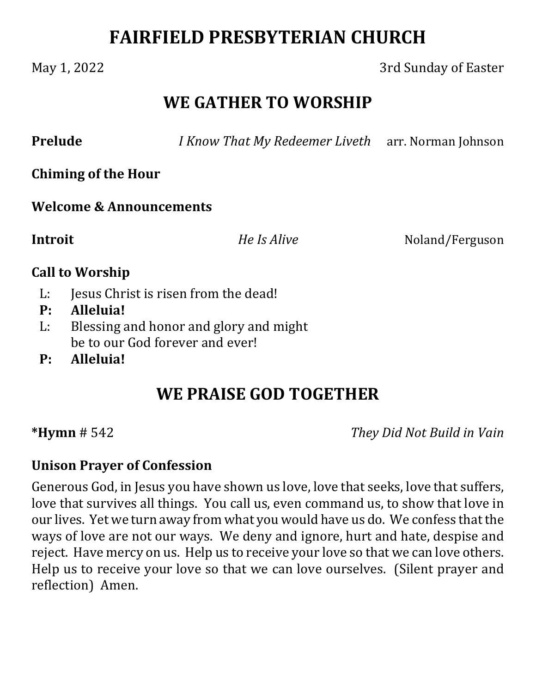# **FAIRFIELD PRESBYTERIAN CHURCH**

### May 1, 2022 3rd Sunday of Easter

## **WE GATHER TO WORSHIP**

**Prelude** *<i>I Know That My Redeemer Liveth* arr. Norman Johnson

**Chiming of the Hour**

**Welcome & Announcements**

**Introit**  *He Is Alive* Noland/Ferguson

### **Call to Worship**

- L: Jesus Christ is risen from the dead!
- **P: Alleluia!**
- L: Blessing and honor and glory and might be to our God forever and ever!
- **P: Alleluia!**

# **WE PRAISE GOD TOGETHER**

**\*Hymn** # 542 *They Did Not Build in Vain*

### **Unison Prayer of Confession**

Generous God, in Jesus you have shown us love, love that seeks, love that suffers, love that survives all things. You call us, even command us, to show that love in our lives. Yet we turn away from what you would have us do. We confess that the ways of love are not our ways. We deny and ignore, hurt and hate, despise and reject. Have mercy on us. Help us to receive your love so that we can love others. Help us to receive your love so that we can love ourselves. (Silent prayer and reflection) Amen.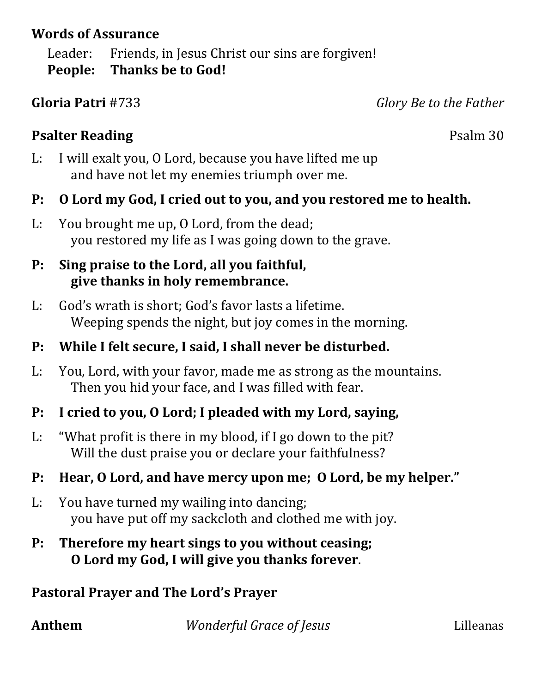### **Words of Assurance**

Leader: Friends, in Jesus Christ our sins are forgiven! **People: Thanks be to God!**

**Gloria Patri** #733 *Glory Be to the Father*

### **Psalter Reading** Psalm 30

- L: I will exalt you, O Lord, because you have lifted me up and have not let my enemies triumph over me.
- **P: O Lord my God, I cried out to you, and you restored me to health.**
- L: You brought me up, O Lord, from the dead; you restored my life as I was going down to the grave.

### **P: Sing praise to the Lord, all you faithful, give thanks in holy remembrance.**

- L: God's wrath is short; God's favor lasts a lifetime. Weeping spends the night, but joy comes in the morning.
- **P: While I felt secure, I said, I shall never be disturbed.**
- L: You, Lord, with your favor, made me as strong as the mountains. Then you hid your face, and I was filled with fear.
- **P: I cried to you, O Lord; I pleaded with my Lord, saying,**
- L: "What profit is there in my blood, if I go down to the pit? Will the dust praise you or declare your faithfulness?

## **P: Hear, O Lord, and have mercy upon me; O Lord, be my helper."**

- L: You have turned my wailing into dancing; you have put off my sackcloth and clothed me with joy.
- **P: Therefore my heart sings to you without ceasing; O Lord my God, I will give you thanks forever**.

## **Pastoral Prayer and The Lord's Prayer**

**Anthem**  *Wonderful Grace of Jesus* Lilleanas